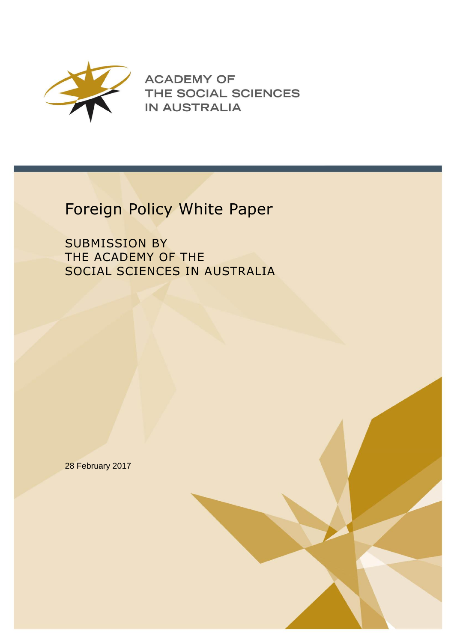

**ACADEMY OF** THE SOCIAL SCIENCES **IN AUSTRALIA** 

## Foreign Policy White Paper

SUBMISSION BY THE ACADEMY OF THE SOCIAL SCIENCES IN AUSTRALIA

28 February 2017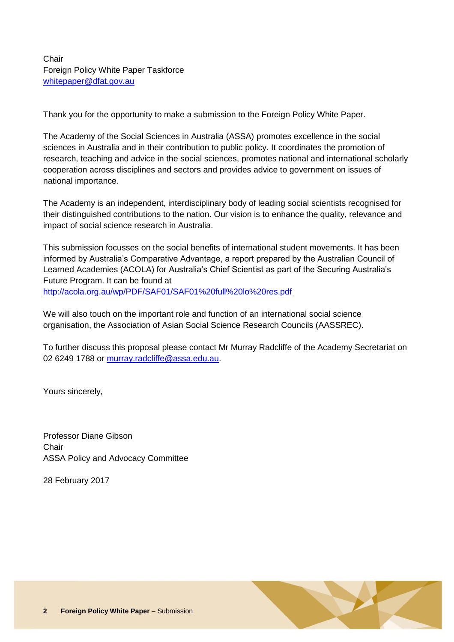Thank you for the opportunity to make a submission to the Foreign Policy White Paper.

The Academy of the Social Sciences in Australia (ASSA) promotes excellence in the social sciences in Australia and in their contribution to public policy. It coordinates the promotion of research, teaching and advice in the social sciences, promotes national and international scholarly cooperation across disciplines and sectors and provides advice to government on issues of national importance.

The Academy is an independent, interdisciplinary body of leading social scientists recognised for their distinguished contributions to the nation. Our vision is to enhance the quality, relevance and impact of social science research in Australia.

This submission focusses on the social benefits of international student movements. It has been informed by Australia's Comparative Advantage, a report prepared by the Australian Council of Learned Academies (ACOLA) for Australia's Chief Scientist as part of the Securing Australia's Future Program. It can be found at <http://acola.org.au/wp/PDF/SAF01/SAF01%20full%20lo%20res.pdf>

We will also touch on the important role and function of an international social science organisation, the Association of Asian Social Science Research Councils (AASSREC).

To further discuss this proposal please contact Mr Murray Radcliffe of the Academy Secretariat on 02 6249 1788 or [murray.radcliffe@assa.edu.au.](mailto:murray.radcliffe@assa.edu.au)

Yours sincerely,

Professor Diane Gibson **Chair** ASSA Policy and Advocacy Committee

28 February 2017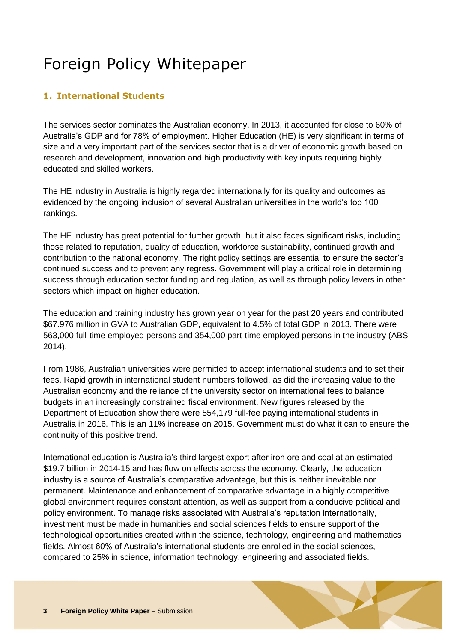## Foreign Policy Whitepaper

## **1. International Students**

The services sector dominates the Australian economy. In 2013, it accounted for close to 60% of Australia's GDP and for 78% of employment. Higher Education (HE) is very significant in terms of size and a very important part of the services sector that is a driver of economic growth based on research and development, innovation and high productivity with key inputs requiring highly educated and skilled workers.

The HE industry in Australia is highly regarded internationally for its quality and outcomes as evidenced by the ongoing inclusion of several Australian universities in the world's top 100 rankings.

The HE industry has great potential for further growth, but it also faces significant risks, including those related to reputation, quality of education, workforce sustainability, continued growth and contribution to the national economy. The right policy settings are essential to ensure the sector's continued success and to prevent any regress. Government will play a critical role in determining success through education sector funding and regulation, as well as through policy levers in other sectors which impact on higher education.

The education and training industry has grown year on year for the past 20 years and contributed \$67.976 million in GVA to Australian GDP, equivalent to 4.5% of total GDP in 2013. There were 563,000 full-time employed persons and 354,000 part-time employed persons in the industry (ABS 2014).

From 1986, Australian universities were permitted to accept international students and to set their fees. Rapid growth in international student numbers followed, as did the increasing value to the Australian economy and the reliance of the university sector on international fees to balance budgets in an increasingly constrained fiscal environment. New figures released by the Department of Education show there were 554,179 full-fee paying international students in Australia in 2016. This is an 11% increase on 2015. Government must do what it can to ensure the continuity of this positive trend.

International education is Australia's third largest export after iron ore and coal at an estimated \$19.7 billion in 2014-15 and has flow on effects across the economy. Clearly, the education industry is a source of Australia's comparative advantage, but this is neither inevitable nor permanent. Maintenance and enhancement of comparative advantage in a highly competitive global environment requires constant attention, as well as support from a conducive political and policy environment. To manage risks associated with Australia's reputation internationally, investment must be made in humanities and social sciences fields to ensure support of the technological opportunities created within the science, technology, engineering and mathematics fields. Almost 60% of Australia's international students are enrolled in the social sciences, compared to 25% in science, information technology, engineering and associated fields.